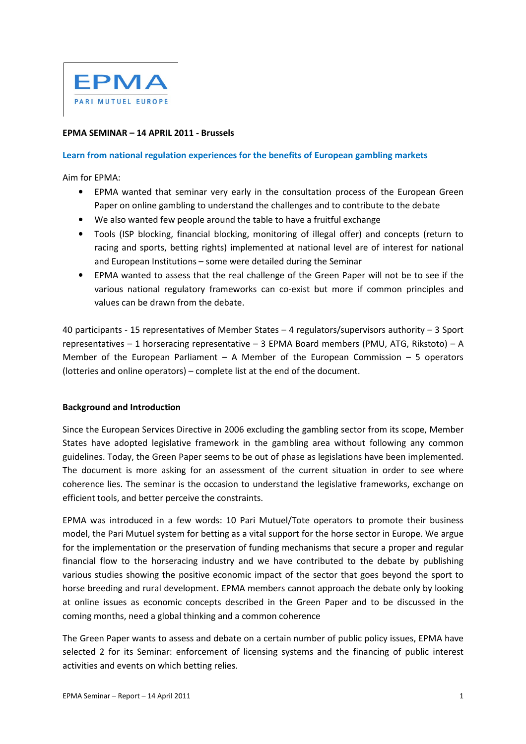

## EPMA SEMINAR – 14 APRIL 2011 - Brussels

## Learn from national regulation experiences for the benefits of European gambling markets

Aim for EPMA:

- EPMA wanted that seminar very early in the consultation process of the European Green Paper on online gambling to understand the challenges and to contribute to the debate
- We also wanted few people around the table to have a fruitful exchange
- Tools (ISP blocking, financial blocking, monitoring of illegal offer) and concepts (return to racing and sports, betting rights) implemented at national level are of interest for national and European Institutions – some were detailed during the Seminar
- EPMA wanted to assess that the real challenge of the Green Paper will not be to see if the various national regulatory frameworks can co-exist but more if common principles and values can be drawn from the debate.

40 participants - 15 representatives of Member States – 4 regulators/supervisors authority – 3 Sport representatives – 1 horseracing representative – 3 EPMA Board members (PMU, ATG, Rikstoto) – A Member of the European Parliament – A Member of the European Commission – 5 operators (lotteries and online operators) – complete list at the end of the document.

## Background and Introduction

Since the European Services Directive in 2006 excluding the gambling sector from its scope, Member States have adopted legislative framework in the gambling area without following any common guidelines. Today, the Green Paper seems to be out of phase as legislations have been implemented. The document is more asking for an assessment of the current situation in order to see where coherence lies. The seminar is the occasion to understand the legislative frameworks, exchange on efficient tools, and better perceive the constraints.

EPMA was introduced in a few words: 10 Pari Mutuel/Tote operators to promote their business model, the Pari Mutuel system for betting as a vital support for the horse sector in Europe. We argue for the implementation or the preservation of funding mechanisms that secure a proper and regular financial flow to the horseracing industry and we have contributed to the debate by publishing various studies showing the positive economic impact of the sector that goes beyond the sport to horse breeding and rural development. EPMA members cannot approach the debate only by looking at online issues as economic concepts described in the Green Paper and to be discussed in the coming months, need a global thinking and a common coherence

The Green Paper wants to assess and debate on a certain number of public policy issues, EPMA have selected 2 for its Seminar: enforcement of licensing systems and the financing of public interest activities and events on which betting relies.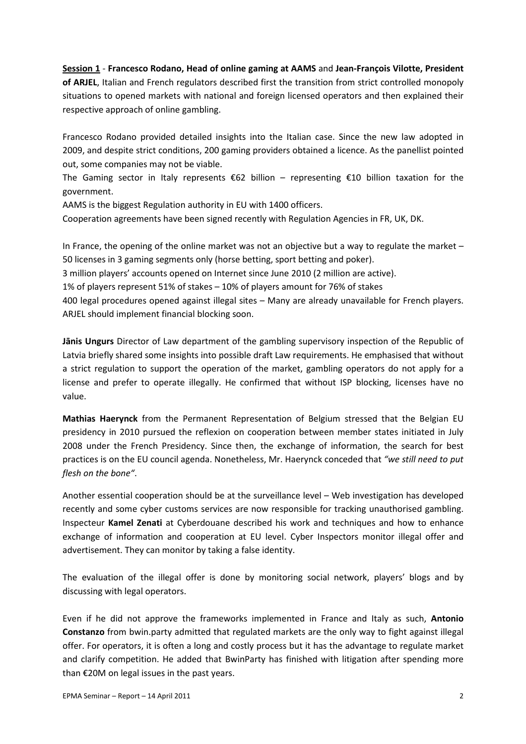## Session 1 - Francesco Rodano, Head of online gaming at AAMS and Jean-François Vilotte, President of ARJEL, Italian and French regulators described first the transition from strict controlled monopoly situations to opened markets with national and foreign licensed operators and then explained their respective approach of online gambling.

Francesco Rodano provided detailed insights into the Italian case. Since the new law adopted in 2009, and despite strict conditions, 200 gaming providers obtained a licence. As the panellist pointed out, some companies may not be viable.

The Gaming sector in Italy represents €62 billion – representing €10 billion taxation for the government.

AAMS is the biggest Regulation authority in EU with 1400 officers.

Cooperation agreements have been signed recently with Regulation Agencies in FR, UK, DK.

In France, the opening of the online market was not an objective but a way to regulate the market – 50 licenses in 3 gaming segments only (horse betting, sport betting and poker).

3 million players' accounts opened on Internet since June 2010 (2 million are active).

1% of players represent 51% of stakes – 10% of players amount for 76% of stakes

400 legal procedures opened against illegal sites – Many are already unavailable for French players. ARJEL should implement financial blocking soon.

Janis Ungurs Director of Law department of the gambling supervisory inspection of the Republic of Latvia briefly shared some insights into possible draft Law requirements. He emphasised that without a strict regulation to support the operation of the market, gambling operators do not apply for a license and prefer to operate illegally. He confirmed that without ISP blocking, licenses have no value.

Mathias Haerynck from the Permanent Representation of Belgium stressed that the Belgian EU presidency in 2010 pursued the reflexion on cooperation between member states initiated in July 2008 under the French Presidency. Since then, the exchange of information, the search for best practices is on the EU council agenda. Nonetheless, Mr. Haerynck conceded that "we still need to put flesh on the bone".

Another essential cooperation should be at the surveillance level – Web investigation has developed recently and some cyber customs services are now responsible for tracking unauthorised gambling. Inspecteur Kamel Zenati at Cyberdouane described his work and techniques and how to enhance exchange of information and cooperation at EU level. Cyber Inspectors monitor illegal offer and advertisement. They can monitor by taking a false identity.

The evaluation of the illegal offer is done by monitoring social network, players' blogs and by discussing with legal operators.

Even if he did not approve the frameworks implemented in France and Italy as such, Antonio Constanzo from bwin.party admitted that regulated markets are the only way to fight against illegal offer. For operators, it is often a long and costly process but it has the advantage to regulate market and clarify competition. He added that BwinParty has finished with litigation after spending more than €20M on legal issues in the past years.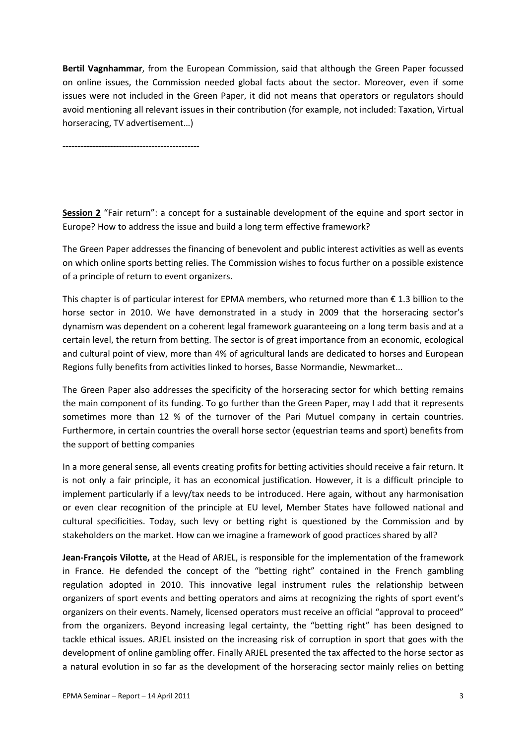Bertil Vagnhammar, from the European Commission, said that although the Green Paper focussed on online issues, the Commission needed global facts about the sector. Moreover, even if some issues were not included in the Green Paper, it did not means that operators or regulators should avoid mentioning all relevant issues in their contribution (for example, not included: Taxation, Virtual horseracing, TV advertisement…)

----------------------------------------------

Session 2 "Fair return": a concept for a sustainable development of the equine and sport sector in Europe? How to address the issue and build a long term effective framework?

The Green Paper addresses the financing of benevolent and public interest activities as well as events on which online sports betting relies. The Commission wishes to focus further on a possible existence of a principle of return to event organizers.

This chapter is of particular interest for EPMA members, who returned more than  $\epsilon$  1.3 billion to the horse sector in 2010. We have demonstrated in a study in 2009 that the horseracing sector's dynamism was dependent on a coherent legal framework guaranteeing on a long term basis and at a certain level, the return from betting. The sector is of great importance from an economic, ecological and cultural point of view, more than 4% of agricultural lands are dedicated to horses and European Regions fully benefits from activities linked to horses, Basse Normandie, Newmarket...

The Green Paper also addresses the specificity of the horseracing sector for which betting remains the main component of its funding. To go further than the Green Paper, may I add that it represents sometimes more than 12 % of the turnover of the Pari Mutuel company in certain countries. Furthermore, in certain countries the overall horse sector (equestrian teams and sport) benefits from the support of betting companies

In a more general sense, all events creating profits for betting activities should receive a fair return. It is not only a fair principle, it has an economical justification. However, it is a difficult principle to implement particularly if a levy/tax needs to be introduced. Here again, without any harmonisation or even clear recognition of the principle at EU level, Member States have followed national and cultural specificities. Today, such levy or betting right is questioned by the Commission and by stakeholders on the market. How can we imagine a framework of good practices shared by all?

Jean-François Vilotte, at the Head of ARJEL, is responsible for the implementation of the framework in France. He defended the concept of the "betting right" contained in the French gambling regulation adopted in 2010. This innovative legal instrument rules the relationship between organizers of sport events and betting operators and aims at recognizing the rights of sport event's organizers on their events. Namely, licensed operators must receive an official "approval to proceed" from the organizers. Beyond increasing legal certainty, the "betting right" has been designed to tackle ethical issues. ARJEL insisted on the increasing risk of corruption in sport that goes with the development of online gambling offer. Finally ARJEL presented the tax affected to the horse sector as a natural evolution in so far as the development of the horseracing sector mainly relies on betting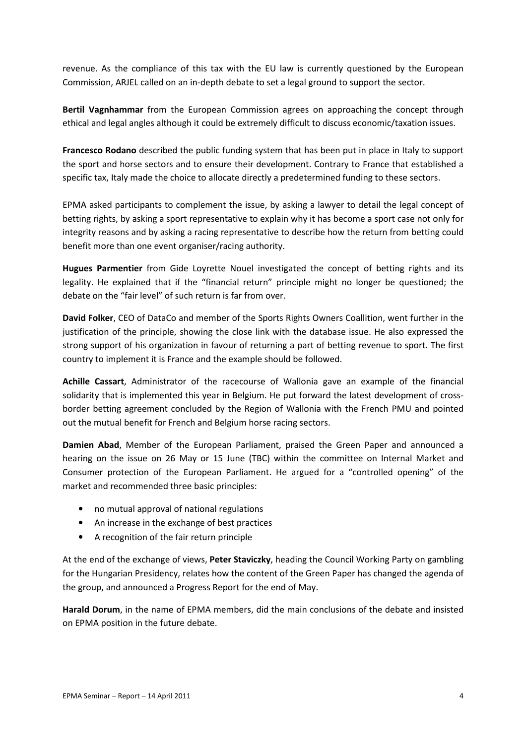revenue. As the compliance of this tax with the EU law is currently questioned by the European Commission, ARJEL called on an in-depth debate to set a legal ground to support the sector.

Bertil Vagnhammar from the European Commission agrees on approaching the concept through ethical and legal angles although it could be extremely difficult to discuss economic/taxation issues.

Francesco Rodano described the public funding system that has been put in place in Italy to support the sport and horse sectors and to ensure their development. Contrary to France that established a specific tax, Italy made the choice to allocate directly a predetermined funding to these sectors.

EPMA asked participants to complement the issue, by asking a lawyer to detail the legal concept of betting rights, by asking a sport representative to explain why it has become a sport case not only for integrity reasons and by asking a racing representative to describe how the return from betting could benefit more than one event organiser/racing authority.

Hugues Parmentier from Gide Loyrette Nouel investigated the concept of betting rights and its legality. He explained that if the "financial return" principle might no longer be questioned; the debate on the "fair level" of such return is far from over.

David Folker, CEO of DataCo and member of the Sports Rights Owners Coallition, went further in the justification of the principle, showing the close link with the database issue. He also expressed the strong support of his organization in favour of returning a part of betting revenue to sport. The first country to implement it is France and the example should be followed.

Achille Cassart, Administrator of the racecourse of Wallonia gave an example of the financial solidarity that is implemented this year in Belgium. He put forward the latest development of crossborder betting agreement concluded by the Region of Wallonia with the French PMU and pointed out the mutual benefit for French and Belgium horse racing sectors.

Damien Abad, Member of the European Parliament, praised the Green Paper and announced a hearing on the issue on 26 May or 15 June (TBC) within the committee on Internal Market and Consumer protection of the European Parliament. He argued for a "controlled opening" of the market and recommended three basic principles:

- no mutual approval of national regulations
- An increase in the exchange of best practices
- A recognition of the fair return principle

At the end of the exchange of views, Peter Staviczky, heading the Council Working Party on gambling for the Hungarian Presidency, relates how the content of the Green Paper has changed the agenda of the group, and announced a Progress Report for the end of May.

Harald Dorum, in the name of EPMA members, did the main conclusions of the debate and insisted on EPMA position in the future debate.